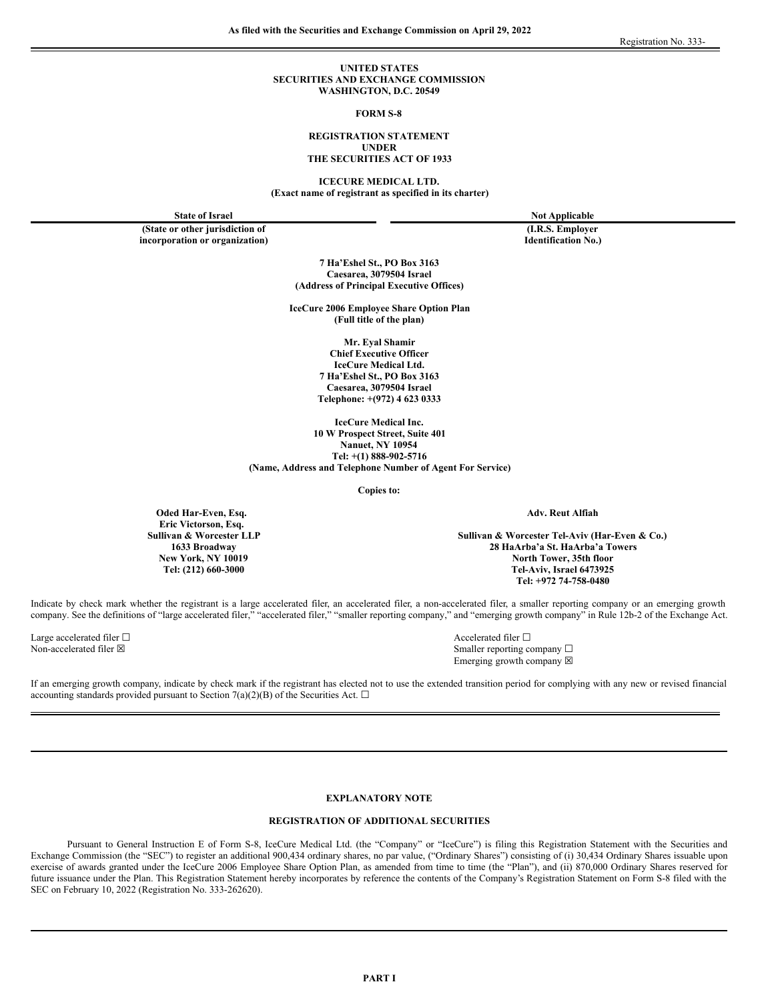### **UNITED STATES SECURITIES AND EXCHANGE COMMISSION WASHINGTON, D.C. 20549**

### **FORM S-8**

### **REGISTRATION STATEMENT UNDER THE SECURITIES ACT OF 1933**

**ICECURE MEDICAL LTD. (Exact name of registrant as specified in its charter)**

**Oded Har-Even, Esq. Eric Victorson, Esq.**

**(State or other jurisdiction of (I.R.S. Employer incorporation or organization) Identification No.)**

**State of Israel Not Applicable**

**7 Ha'Eshel St., PO Box 3163 Caesarea, 3079504 Israel (Address of Principal Executive Offices)**

**IceCure 2006 Employee Share Option Plan (Full title of the plan)**

> **Mr. Eyal Shamir Chief Executive Officer IceCure Medical Ltd. 7 Ha'Eshel St., PO Box 3163 Caesarea, 3079504 Israel Telephone: +(972) 4 623 0333**

**IceCure Medical Inc. 10 W Prospect Street, Suite 401 Nanuet, NY 10954 Tel: +(1) 888-902-5716 (Name, Address and Telephone Number of Agent For Service)**

**Copies to:**

**Adv. Reut Alfiah**

**Sullivan & Worcester LLP Sullivan & Worcester Tel-Aviv (Har-Even & Co.) 1633 Broadway 28 HaArba'a St. HaArba'a Towers New York, NY 10019 North Tower, 35th floor Tel: (212) 660-3000 Tel-Aviv, Israel 6473925 Tel: +972 74-758-0480**

Indicate by check mark whether the registrant is a large accelerated filer, an accelerated filer, a non-accelerated filer, a smaller reporting company or an emerging growth company. See the definitions of "large accelerated filer," "accelerated filer," "smaller reporting company," and "emerging growth company" in Rule 12b-2 of the Exchange Act.

Large accelerated filer □ accelerated filer □ accelerated filer □ accelerated filer □

Non-accelerated filer ⊠ Smaller reporting company □ Emerging growth company  $\boxtimes$ 

If an emerging growth company, indicate by check mark if the registrant has elected not to use the extended transition period for complying with any new or revised financial accounting standards provided pursuant to Section 7(a)(2)(B) of the Securities Act.  $\Box$ 

# **EXPLANATORY NOTE**

### **REGISTRATION OF ADDITIONAL SECURITIES**

Pursuant to General Instruction E of Form S-8, IceCure Medical Ltd. (the "Company" or "IceCure") is filing this Registration Statement with the Securities and Exchange Commission (the "SEC") to register an additional 900,434 ordinary shares, no par value, ("Ordinary Shares") consisting of (i) 30,434 Ordinary Shares issuable upon exercise of awards granted under the IceCure 2006 Employee Share Option Plan, as amended from time to time (the "Plan"), and (ii) 870,000 Ordinary Shares reserved for future issuance under the Plan. This Registration Statement hereby incorporates by reference the contents of the Company's Registration Statement on Form S-8 filed with the SEC on February 10, 2022 (Registration No. 333-262620).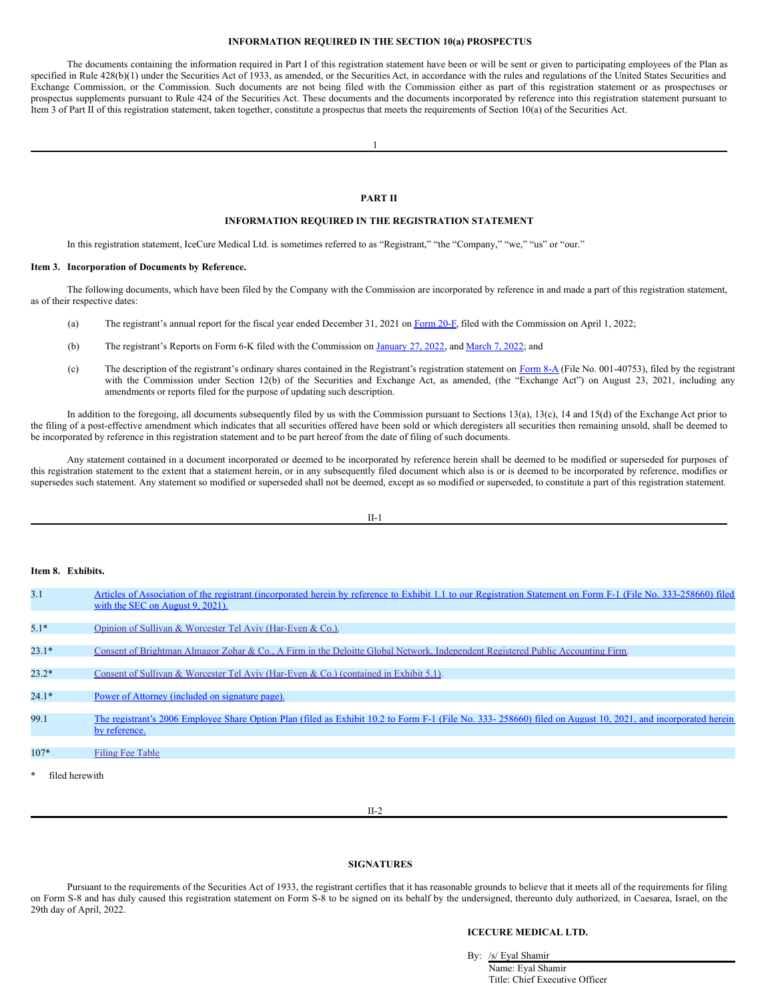## **INFORMATION REQUIRED IN THE SECTION 10(a) PROSPECTUS**

The documents containing the information required in Part I of this registration statement have been or will be sent or given to participating employees of the Plan as specified in Rule 428(b)(1) under the Securities Act of 1933, as amended, or the Securities Act, in accordance with the rules and regulations of the United States Securities and Exchange Commission, or the Commission. Such documents are not being filed with the Commission either as part of this registration statement or as prospectuses or prospectus supplements pursuant to Rule 424 of the Securities Act. These documents and the documents incorporated by reference into this registration statement pursuant to Item 3 of Part II of this registration statement, taken together, constitute a prospectus that meets the requirements of Section 10(a) of the Securities Act.

1

## **PART II**

## **INFORMATION REQUIRED IN THE REGISTRATION STATEMENT**

In this registration statement, IceCure Medical Ltd. is sometimes referred to as "Registrant," "the "Company," "we," "us" or "our."

#### **Item 3. Incorporation of Documents by Reference.**

The following documents, which have been filed by the Company with the Commission are incorporated by reference in and made a part of this registration statement, as of their respective dates:

- (a) The registrant's annual report for the fiscal year ended December 31, 2021 on [Form](http://www.sec.gov/ix?doc=/Archives/edgar/data/1584371/000121390022017147/f20f2021_icecuremedical.htm) 20-F, filed with the Commission on April 1, 2022;
- (b) The registrant's Reports on Form 6-K filed with the Commission on [January](http://www.sec.gov/Archives/edgar/data/1584371/000121390022003993/ea154568-6k_icecure.htm) 27, 2022, and [March](http://www.sec.gov/Archives/edgar/data/1584371/000121390022010843/ea156533-6k_icecuremed.htm) 7, 2022; and
- (c) The description of the registrant's ordinary shares contained in the Registrant's registration statement on  $Form 8-A$  $Form 8-A$  $Form 8-A$  (File No. 001-40753), filed by the registrant</u> with the Commission under Section 12(b) of the Securities and Exchange Act, as amended, (the "Exchange Act") on August 23, 2021, including any amendments or reports filed for the purpose of updating such description.

In addition to the foregoing, all documents subsequently filed by us with the Commission pursuant to Sections 13(a), 13(c), 14 and 15(d) of the Exchange Act prior to the filing of a post-effective amendment which indicates that all securities offered have been sold or which deregisters all securities then remaining unsold, shall be deemed to be incorporated by reference in this registration statement and to be part hereof from the date of filing of such documents.

Any statement contained in a document incorporated or deemed to be incorporated by reference herein shall be deemed to be modified or superseded for purposes of this registration statement to the extent that a statement herein, or in any subsequently filed document which also is or is deemed to be incorporated by reference, modifies or supersedes such statement. Any statement so modified or superseded shall not be deemed, except as so modified or superseded, to constitute a part of this registration statement.

#### II-1

## **Item 8. Exhibits.**

| 3.1                   | Articles of Association of the registrant (incorporated herein by reference to Exhibit 1.1 to our Registration Statement on Form F-1 (File No. 333-258660) filed<br>with the SEC on August 9, 2021). |
|-----------------------|------------------------------------------------------------------------------------------------------------------------------------------------------------------------------------------------------|
| $5.1*$                | Opinion of Sullivan & Worcester Tel Aviv (Har-Even & Co.).                                                                                                                                           |
| $23.1*$               | Consent of Brightman Almagor Zohar & Co., A Firm in the Deloitte Global Network, Independent Registered Public Accounting Firm.                                                                      |
| $23.2*$               | Consent of Sullivan & Worcester Tel Aviv (Har-Even & Co.) (contained in Exhibit 5.1).                                                                                                                |
| $24.1*$               | Power of Attorney (included on signature page).                                                                                                                                                      |
| 99.1                  | The registrant's 2006 Employee Share Option Plan (filed as Exhibit 10.2 to Form F-1 (File No. 333-258660) filed on August 10, 2021, and incorporated herein<br>by reference.                         |
| $107*$                | Filing Fee Table                                                                                                                                                                                     |
| $*$<br>filed herewith |                                                                                                                                                                                                      |

### II-2

#### <span id="page-1-0"></span>**SIGNATURES**

Pursuant to the requirements of the Securities Act of 1933, the registrant certifies that it has reasonable grounds to believe that it meets all of the requirements for filing on Form S-8 and has duly caused this registration statement on Form S-8 to be signed on its behalf by the undersigned, thereunto duly authorized, in Caesarea, Israel, on the 29th day of April, 2022.

### **ICECURE MEDICAL LTD.**

By: /s/ Eyal Shamir Name: Eyal Shamir Title: Chief Executive Officer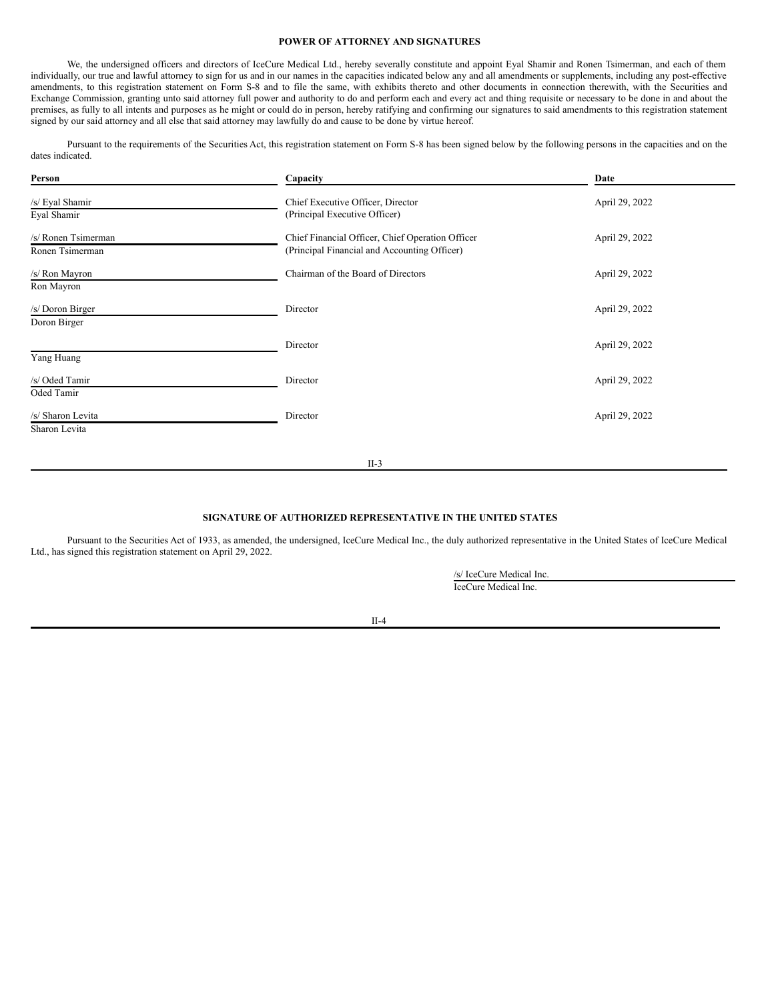## **POWER OF ATTORNEY AND SIGNATURES**

We, the undersigned officers and directors of IceCure Medical Ltd., hereby severally constitute and appoint Eyal Shamir and Ronen Tsimerman, and each of them individually, our true and lawful attorney to sign for us and in our names in the capacities indicated below any and all amendments or supplements, including any post-effective amendments, to this registration statement on Form S-8 and to file the same, with exhibits thereto and other documents in connection therewith, with the Securities and Exchange Commission, granting unto said attorney full power and authority to do and perform each and every act and thing requisite or necessary to be done in and about the premises, as fully to all intents and purposes as he might or could do in person, hereby ratifying and confirming our signatures to said amendments to this registration statement signed by our said attorney and all else that said attorney may lawfully do and cause to be done by virtue hereof.

Pursuant to the requirements of the Securities Act, this registration statement on Form S-8 has been signed below by the following persons in the capacities and on the dates indicated.

| Person                                 | Capacity                                                                                         | Date           |
|----------------------------------------|--------------------------------------------------------------------------------------------------|----------------|
| /s/ Eyal Shamir<br>Eyal Shamir         | Chief Executive Officer, Director<br>(Principal Executive Officer)                               | April 29, 2022 |
| /s/ Ronen Tsimerman<br>Ronen Tsimerman | Chief Financial Officer, Chief Operation Officer<br>(Principal Financial and Accounting Officer) | April 29, 2022 |
| /s/ Ron Mayron<br>Ron Mayron           | Chairman of the Board of Directors                                                               | April 29, 2022 |
| /s/ Doron Birger<br>Doron Birger       | Director                                                                                         | April 29, 2022 |
| Yang Huang                             | Director                                                                                         | April 29, 2022 |
| /s/ Oded Tamir<br>Oded Tamir           | Director                                                                                         | April 29, 2022 |
| /s/ Sharon Levita<br>Sharon Levita     | Director                                                                                         | April 29, 2022 |
|                                        |                                                                                                  |                |

II-3

## **SIGNATURE OF AUTHORIZED REPRESENTATIVE IN THE UNITED STATES**

Pursuant to the Securities Act of 1933, as amended, the undersigned, IceCure Medical Inc., the duly authorized representative in the United States of IceCure Medical Ltd., has signed this registration statement on April 29, 2022.

> /s/ IceCure Medical Inc. IceCure Medical Inc.

II-4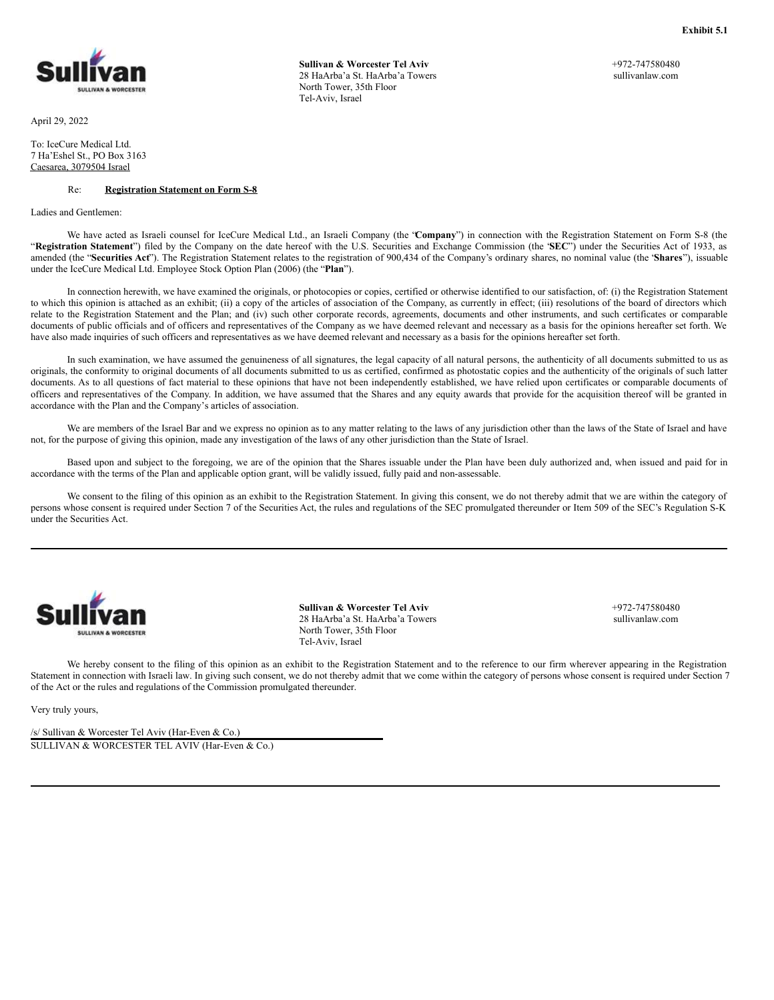<span id="page-3-0"></span>

April 29, 2022

To: IceCure Medical Ltd. 7 Ha'Eshel St., PO Box 3163 Caesarea, 3079504 Israel

### Re: **Registration Statement on Form S-8**

Ladies and Gentlemen:

**Sullivan & Worcester Tel Aviv** 28 HaArba'a St. HaArba'a Towers North Tower, 35th Floor Tel-Aviv, Israel

+972-747580480 sullivanlaw.com

**Exhibit 5.1**

We have acted as Israeli counsel for IceCure Medical Ltd., an Israeli Company (the "Company") in connection with the Registration Statement on Form S-8 (the "**Registration Statement**") filed by the Company on the date hereof with the U.S. Securities and Exchange Commission (the "**SEC**") under the Securities Act of 1933, as amended (the "**Securities Act**"). The Registration Statement relates to the registration of 900,434 of the Company's ordinary shares, no nominal value (the "**Shares**"), issuable under the IceCure Medical Ltd. Employee Stock Option Plan (2006) (the "**Plan**").

In connection herewith, we have examined the originals, or photocopies or copies, certified or otherwise identified to our satisfaction, of: (i) the Registration Statement to which this opinion is attached as an exhibit; (ii) a copy of the articles of association of the Company, as currently in effect; (iii) resolutions of the board of directors which relate to the Registration Statement and the Plan; and (iv) such other corporate records, agreements, documents and other instruments, and such certificates or comparable documents of public officials and of officers and representatives of the Company as we have deemed relevant and necessary as a basis for the opinions hereafter set forth. We have also made inquiries of such officers and representatives as we have deemed relevant and necessary as a basis for the opinions hereafter set forth.

In such examination, we have assumed the genuineness of all signatures, the legal capacity of all natural persons, the authenticity of all documents submitted to us as originals, the conformity to original documents of all documents submitted to us as certified, confirmed as photostatic copies and the authenticity of the originals of such latter documents. As to all questions of fact material to these opinions that have not been independently established, we have relied upon certificates or comparable documents of officers and representatives of the Company. In addition, we have assumed that the Shares and any equity awards that provide for the acquisition thereof will be granted in accordance with the Plan and the Company's articles of association.

We are members of the Israel Bar and we express no opinion as to any matter relating to the laws of any jurisdiction other than the laws of the State of Israel and have not, for the purpose of giving this opinion, made any investigation of the laws of any other jurisdiction than the State of Israel.

Based upon and subject to the foregoing, we are of the opinion that the Shares issuable under the Plan have been duly authorized and, when issued and paid for in accordance with the terms of the Plan and applicable option grant, will be validly issued, fully paid and non-assessable.

We consent to the filing of this opinion as an exhibit to the Registration Statement. In giving this consent, we do not thereby admit that we are within the category of persons whose consent is required under Section 7 of the Securities Act, the rules and regulations of the SEC promulgated thereunder or Item 509 of the SEC's Regulation S-K under the Securities Act.



**Sullivan & Worcester Tel Aviv** 28 HaArba'a St. HaArba'a Towers North Tower, 35th Floor Tel-Aviv, Israel

+972-747580480 sullivanlaw.com

We hereby consent to the filing of this opinion as an exhibit to the Registration Statement and to the reference to our firm wherever appearing in the Registration Statement in connection with Israeli law. In giving such consent, we do not thereby admit that we come within the category of persons whose consent is required under Section 7 of the Act or the rules and regulations of the Commission promulgated thereunder.

Very truly yours,

/s/ Sullivan & Worcester Tel Aviv (Har-Even & Co.) SULLIVAN & WORCESTER TEL AVIV (Har-Even & Co.)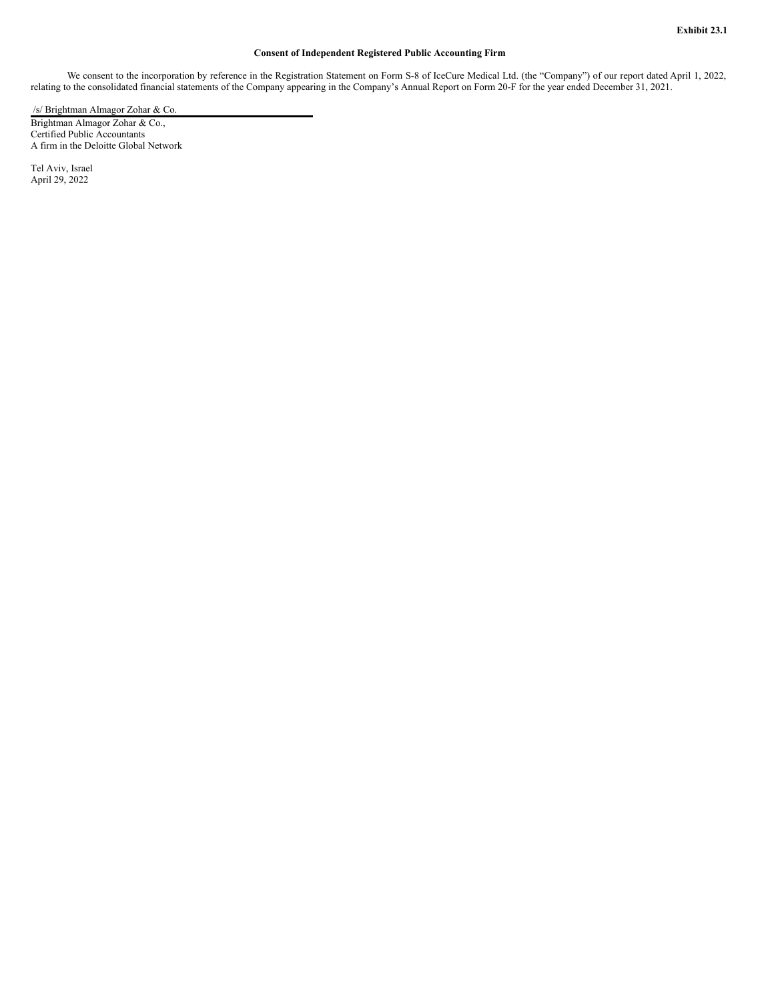## **Consent of Independent Registered Public Accounting Firm**

<span id="page-4-0"></span>We consent to the incorporation by reference in the Registration Statement on Form S-8 of IceCure Medical Ltd. (the "Company") of our report dated April 1, 2022, relating to the consolidated financial statements of the Company appearing in the Company's Annual Report on Form 20-F for the year ended December 31, 2021.

/s/ Brightman Almagor Zohar & Co.

Brightman Almagor Zohar & Co., Certified Public Accountants A firm in the Deloitte Global Network

Tel Aviv, Israel April 29, 2022